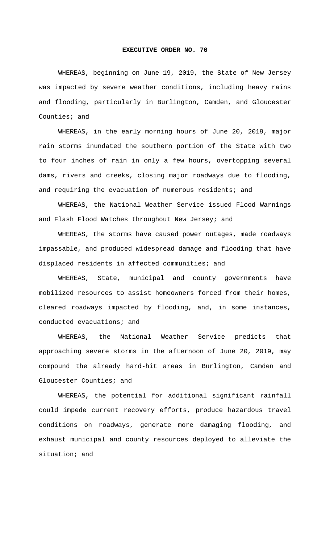## **EXECUTIVE ORDER NO. 70**

WHEREAS, beginning on June 19, 2019, the State of New Jersey was impacted by severe weather conditions, including heavy rains and flooding, particularly in Burlington, Camden, and Gloucester Counties; and

WHEREAS, in the early morning hours of June 20, 2019, major rain storms inundated the southern portion of the State with two to four inches of rain in only a few hours, overtopping several dams, rivers and creeks, closing major roadways due to flooding, and requiring the evacuation of numerous residents; and

WHEREAS, the National Weather Service issued Flood Warnings and Flash Flood Watches throughout New Jersey; and

WHEREAS, the storms have caused power outages, made roadways impassable, and produced widespread damage and flooding that have displaced residents in affected communities; and

WHEREAS, State, municipal and county governments have mobilized resources to assist homeowners forced from their homes, cleared roadways impacted by flooding, and, in some instances, conducted evacuations; and

WHEREAS, the National Weather Service predicts that approaching severe storms in the afternoon of June 20, 2019, may compound the already hard-hit areas in Burlington, Camden and Gloucester Counties; and

WHEREAS, the potential for additional significant rainfall could impede current recovery efforts, produce hazardous travel conditions on roadways, generate more damaging flooding, and exhaust municipal and county resources deployed to alleviate the situation; and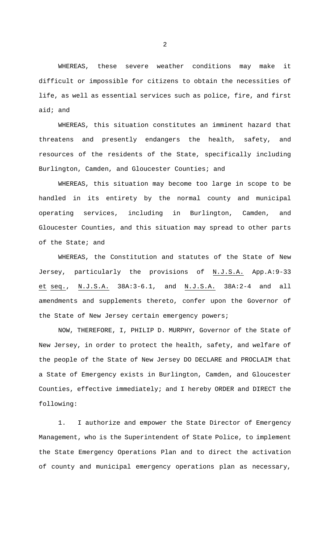WHEREAS, these severe weather conditions may make it difficult or impossible for citizens to obtain the necessities of life, as well as essential services such as police, fire, and first aid; and

WHEREAS, this situation constitutes an imminent hazard that threatens and presently endangers the health, safety, and resources of the residents of the State, specifically including Burlington, Camden, and Gloucester Counties; and

WHEREAS, this situation may become too large in scope to be handled in its entirety by the normal county and municipal operating services, including in Burlington, Camden, and Gloucester Counties, and this situation may spread to other parts of the State; and

WHEREAS, the Constitution and statutes of the State of New Jersey, particularly the provisions of N.J.S.A. App.A:9-33 et seq., N.J.S.A. 38A:3-6.1, and N.J.S.A. 38A:2-4 and all amendments and supplements thereto, confer upon the Governor of the State of New Jersey certain emergency powers;

NOW, THEREFORE, I, PHILIP D. MURPHY, Governor of the State of New Jersey, in order to protect the health, safety, and welfare of the people of the State of New Jersey DO DECLARE and PROCLAIM that a State of Emergency exists in Burlington, Camden, and Gloucester Counties, effective immediately; and I hereby ORDER and DIRECT the following:

1. I authorize and empower the State Director of Emergency Management, who is the Superintendent of State Police, to implement the State Emergency Operations Plan and to direct the activation of county and municipal emergency operations plan as necessary,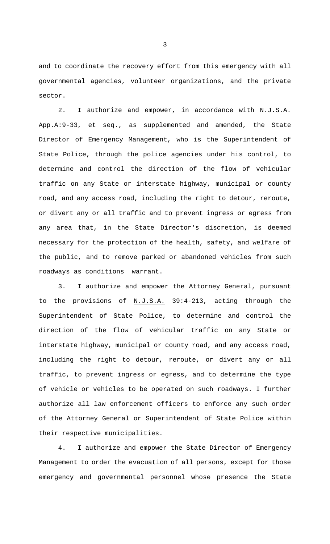and to coordinate the recovery effort from this emergency with all governmental agencies, volunteer organizations, and the private sector.

2. I authorize and empower, in accordance with N.J.S.A. App.A:9-33, et seq., as supplemented and amended, the State Director of Emergency Management, who is the Superintendent of State Police, through the police agencies under his control, to determine and control the direction of the flow of vehicular traffic on any State or interstate highway, municipal or county road, and any access road, including the right to detour, reroute, or divert any or all traffic and to prevent ingress or egress from any area that, in the State Director's discretion, is deemed necessary for the protection of the health, safety, and welfare of the public, and to remove parked or abandoned vehicles from such roadways as conditions warrant.

3. I authorize and empower the Attorney General, pursuant to the provisions of  $N.J.S.A.$  39:4-213, acting through the Superintendent of State Police, to determine and control the direction of the flow of vehicular traffic on any State or interstate highway, municipal or county road, and any access road, including the right to detour, reroute, or divert any or all traffic, to prevent ingress or egress, and to determine the type of vehicle or vehicles to be operated on such roadways. I further authorize all law enforcement officers to enforce any such order of the Attorney General or Superintendent of State Police within their respective municipalities.

4. I authorize and empower the State Director of Emergency Management to order the evacuation of all persons, except for those emergency and governmental personnel whose presence the State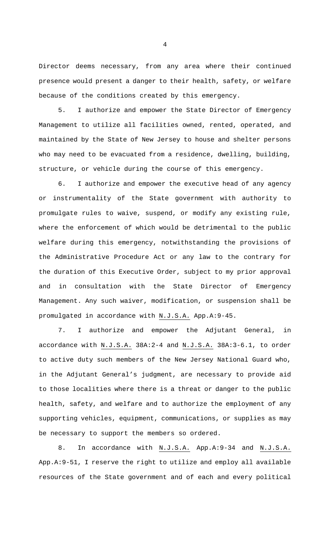Director deems necessary, from any area where their continued presence would present a danger to their health, safety, or welfare because of the conditions created by this emergency.

5. I authorize and empower the State Director of Emergency Management to utilize all facilities owned, rented, operated, and maintained by the State of New Jersey to house and shelter persons who may need to be evacuated from a residence, dwelling, building, structure, or vehicle during the course of this emergency.

6. I authorize and empower the executive head of any agency or instrumentality of the State government with authority to promulgate rules to waive, suspend, or modify any existing rule, where the enforcement of which would be detrimental to the public welfare during this emergency, notwithstanding the provisions of the Administrative Procedure Act or any law to the contrary for the duration of this Executive Order, subject to my prior approval and in consultation with the State Director of Emergency Management. Any such waiver, modification, or suspension shall be promulgated in accordance with N.J.S.A. App.A:9-45.

7. I authorize and empower the Adjutant General, in accordance with N.J.S.A. 38A:2-4 and N.J.S.A. 38A:3-6.1, to order to active duty such members of the New Jersey National Guard who, in the Adjutant General's judgment, are necessary to provide aid to those localities where there is a threat or danger to the public health, safety, and welfare and to authorize the employment of any supporting vehicles, equipment, communications, or supplies as may be necessary to support the members so ordered.

8. In accordance with N.J.S.A. App.A:9-34 and N.J.S.A. App.A:9-51, I reserve the right to utilize and employ all available resources of the State government and of each and every political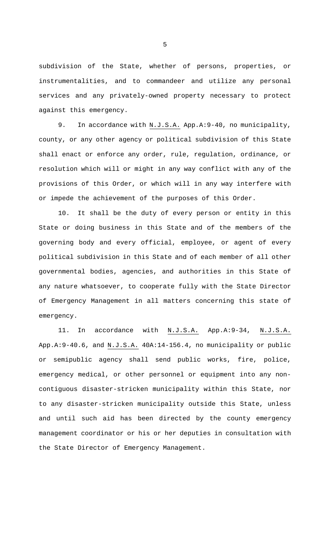subdivision of the State, whether of persons, properties, or instrumentalities, and to commandeer and utilize any personal services and any privately-owned property necessary to protect against this emergency.

9. In accordance with N.J.S.A. App.A:9-40, no municipality, county, or any other agency or political subdivision of this State shall enact or enforce any order, rule, regulation, ordinance, or resolution which will or might in any way conflict with any of the provisions of this Order, or which will in any way interfere with or impede the achievement of the purposes of this Order.

10. It shall be the duty of every person or entity in this State or doing business in this State and of the members of the governing body and every official, employee, or agent of every political subdivision in this State and of each member of all other governmental bodies, agencies, and authorities in this State of any nature whatsoever, to cooperate fully with the State Director of Emergency Management in all matters concerning this state of emergency.

11. In accordance with N.J.S.A. App.A:9-34, N.J.S.A. App.A: 9-40.6, and N.J.S.A. 40A: 14-156.4, no municipality or public or semipublic agency shall send public works, fire, police, emergency medical, or other personnel or equipment into any noncontiguous disaster-stricken municipality within this State, nor to any disaster-stricken municipality outside this State, unless and until such aid has been directed by the county emergency management coordinator or his or her deputies in consultation with the State Director of Emergency Management.